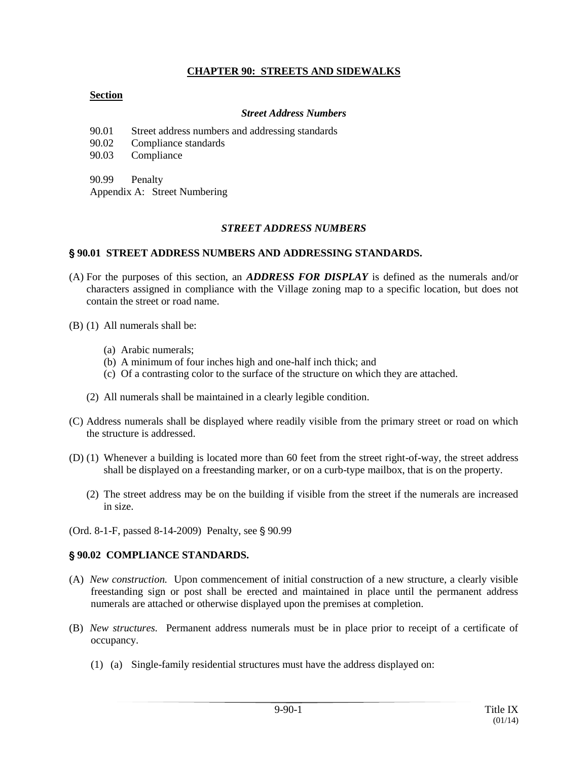# **CHAPTER 90: STREETS AND SIDEWALKS**

### **Section**

#### *Street Address Numbers*

90.01 Street address numbers and addressing standards

90.02 Compliance standards

90.03 Compliance

90.99 Penalty

Appendix A: Street Numbering

#### *STREET ADDRESS NUMBERS*

#### ' **90.01 STREET ADDRESS NUMBERS AND ADDRESSING STANDARDS.**

- (A) For the purposes of this section, an *ADDRESS FOR DISPLAY* is defined as the numerals and/or characters assigned in compliance with the Village zoning map to a specific location, but does not contain the street or road name.
- (B) (1) All numerals shall be:
	- (a) Arabic numerals;
	- (b) A minimum of four inches high and one-half inch thick; and
	- (c) Of a contrasting color to the surface of the structure on which they are attached.
	- (2) All numerals shall be maintained in a clearly legible condition.
- (C) Address numerals shall be displayed where readily visible from the primary street or road on which the structure is addressed.
- (D) (1) Whenever a building is located more than 60 feet from the street right-of-way, the street address shall be displayed on a freestanding marker, or on a curb-type mailbox, that is on the property.
	- (2) The street address may be on the building if visible from the street if the numerals are increased in size.
- (Ord. 8-1-F, passed 8-14-2009) Penalty, see § 90.99

#### ' **90.02 COMPLIANCE STANDARDS.**

- (A) *New construction.* Upon commencement of initial construction of a new structure, a clearly visible freestanding sign or post shall be erected and maintained in place until the permanent address numerals are attached or otherwise displayed upon the premises at completion.
- (B) *New structures.* Permanent address numerals must be in place prior to receipt of a certificate of occupancy.
	- (1) (a) Single-family residential structures must have the address displayed on: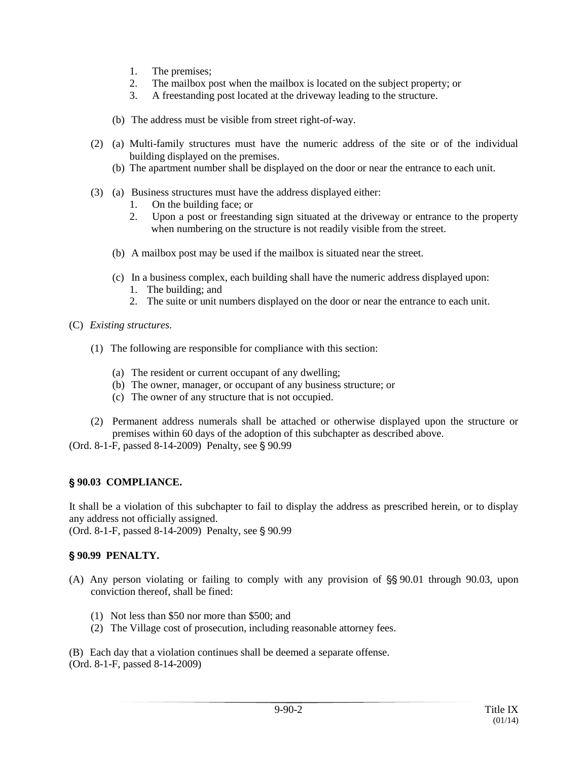- 1. The premises;
- 2. The mailbox post when the mailbox is located on the subject property; or
- 3. A freestanding post located at the driveway leading to the structure.
- (b) The address must be visible from street right-of-way.
- (2) (a) Multi-family structures must have the numeric address of the site or of the individual building displayed on the premises.
	- (b) The apartment number shall be displayed on the door or near the entrance to each unit.
- (3) (a) Business structures must have the address displayed either:
	- 1. On the building face; or
	- 2. Upon a post or freestanding sign situated at the driveway or entrance to the property when numbering on the structure is not readily visible from the street.
	- (b) A mailbox post may be used if the mailbox is situated near the street.
	- (c) In a business complex, each building shall have the numeric address displayed upon:
		- 1. The building; and
		- 2. The suite or unit numbers displayed on the door or near the entrance to each unit.
- (C) *Existing structures.*
	- (1) The following are responsible for compliance with this section:
		- (a) The resident or current occupant of any dwelling;
		- (b) The owner, manager, or occupant of any business structure; or
		- (c) The owner of any structure that is not occupied.
	- (2) Permanent address numerals shall be attached or otherwise displayed upon the structure or premises within 60 days of the adoption of this subchapter as described above.

(Ord. 8-1-F, passed  $8-14-2009$ ) Penalty, see  $\S 90.99$ 

### ' **90.03 COMPLIANCE.**

It shall be a violation of this subchapter to fail to display the address as prescribed herein, or to display any address not officially assigned.

(Ord. 8-1-F, passed 8-14-2009) Penalty, see § 90.99

# ' **90.99 PENALTY.**

- (A) Any person violating or failing to comply with any provision of  $\S$  90.01 through 90.03, upon conviction thereof, shall be fined:
	- (1) Not less than \$50 nor more than \$500; and
	- (2) The Village cost of prosecution, including reasonable attorney fees.

(B) Each day that a violation continues shall be deemed a separate offense. (Ord. 8-1-F, passed 8-14-2009)